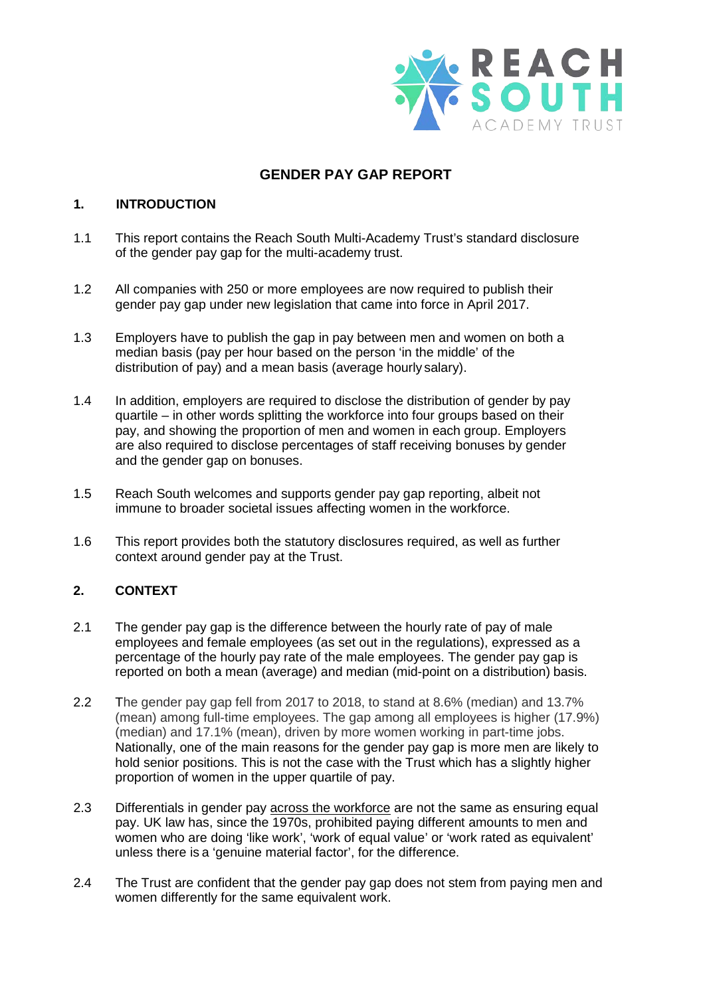

# **GENDER PAY GAP REPORT**

### **1. INTRODUCTION**

- 1.1 This report contains the Reach South Multi-Academy Trust's standard disclosure of the gender pay gap for the multi-academy trust.
- 1.2 All companies with 250 or more employees are now required to publish their gender pay gap under new legislation that came into force in April 2017.
- 1.3 Employers have to publish the gap in pay between men and women on both a median basis (pay per hour based on the person 'in the middle' of the distribution of pay) and a mean basis (average hourly salary).
- 1.4 In addition, employers are required to disclose the distribution of gender by pay quartile – in other words splitting the workforce into four groups based on their pay, and showing the proportion of men and women in each group. Employers are also required to disclose percentages of staff receiving bonuses by gender and the gender gap on bonuses.
- 1.5 Reach South welcomes and supports gender pay gap reporting, albeit not immune to broader societal issues affecting women in the workforce.
- 1.6 This report provides both the statutory disclosures required, as well as further context around gender pay at the Trust.

## **2. CONTEXT**

- 2.1 The gender pay gap is the difference between the hourly rate of pay of male employees and female employees (as set out in the regulations), expressed as a percentage of the hourly pay rate of the male employees. The gender pay gap is reported on both a mean (average) and median (mid-point on a distribution) basis.
- 2.2 The gender pay gap fell from 2017 to 2018, to stand at 8.6% (median) and 13.7% (mean) among full-time employees. The gap among all employees is higher (17.9%) (median) and 17.1% (mean), driven by more women working in part-time jobs. Nationally, one of the main reasons for the gender pay gap is more men are likely to hold senior positions. This is not the case with the Trust which has a slightly higher proportion of women in the upper quartile of pay.
- 2.3 Differentials in gender pay across the workforce are not the same as ensuring equal pay. UK law has, since the 1970s, prohibited paying different amounts to men and women who are doing 'like work', 'work of equal value' or 'work rated as equivalent' unless there is a 'genuine material factor', for the difference.
- 2.4 The Trust are confident that the gender pay gap does not stem from paying men and women differently for the same equivalent work.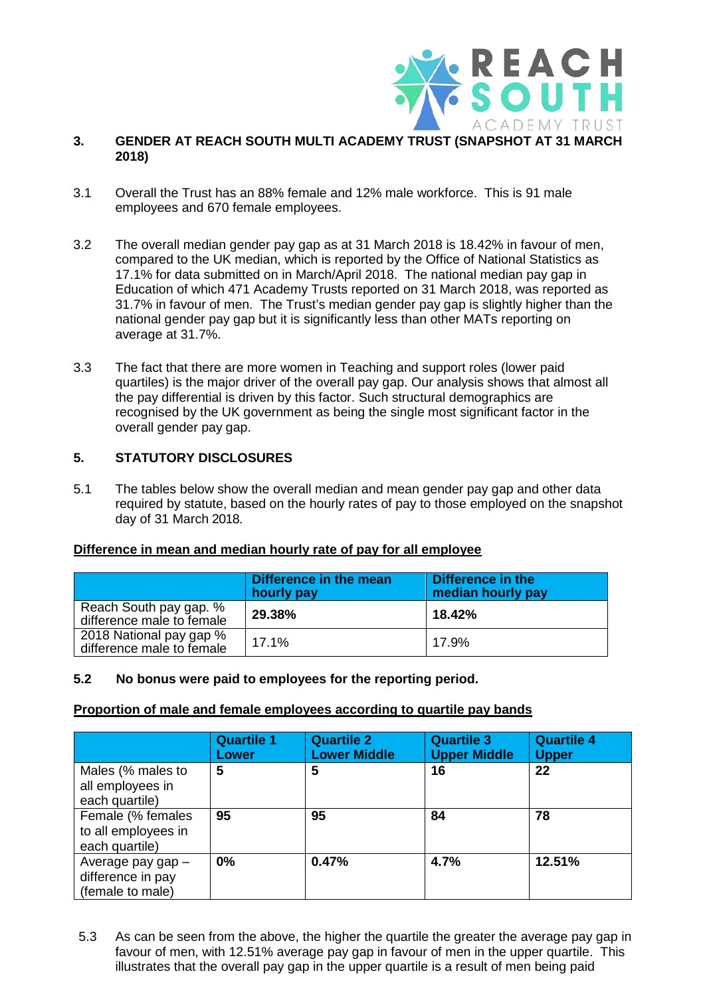

#### **3. GENDER AT REACH SOUTH MULTI ACADEMY TRUST (SNAPSHOT AT 31 MARCH 2018)**

- 3.1 Overall the Trust has an 88% female and 12% male workforce. This is 91 male employees and 670 female employees.
- 3.2 The overall median gender pay gap as at 31 March 2018 is 18.42% in favour of men, compared to the UK median, which is reported by the Office of National Statistics as 17.1% for data submitted on in March/April 2018. The national median pay gap in Education of which 471 Academy Trusts reported on 31 March 2018, was reported as 31.7% in favour of men. The Trust's median gender pay gap is slightly higher than the national gender pay gap but it is significantly less than other MATs reporting on average at 31.7%.
- 3.3 The fact that there are more women in Teaching and support roles (lower paid quartiles) is the major driver of the overall pay gap. Our analysis shows that almost all the pay differential is driven by this factor. Such structural demographics are recognised by the UK government as being the single most significant factor in the overall gender pay gap.

### **5. STATUTORY DISCLOSURES**

5.1 The tables below show the overall median and mean gender pay gap and other data required by statute, based on the hourly rates of pay to those employed on the snapshot day of 31 March 2018.

#### **Difference in mean and median hourly rate of pay for all employee**

|                                                      | Difference in the mean<br>hourly pay | Difference in the<br>median hourly pay |
|------------------------------------------------------|--------------------------------------|----------------------------------------|
| Reach South pay gap. %<br>difference male to female  | 29.38%                               | 18.42%                                 |
| 2018 National pay gap %<br>difference male to female | 17.1%                                | 17.9%                                  |

#### **5.2 No bonus were paid to employees for the reporting period.**

#### **Proportion of male and female employees according to quartile pay bands**

|                                                            | <b>Quartile 1</b><br>Lower | <b>Quartile 2</b><br><b>Lower Middle</b> | <b>Quartile 3</b><br><b>Upper Middle</b> | <b>Quartile 4</b><br><b>Upper</b> |
|------------------------------------------------------------|----------------------------|------------------------------------------|------------------------------------------|-----------------------------------|
| Males (% males to<br>all employees in<br>each quartile)    | 5                          | 5                                        | 16                                       | 22                                |
| Female (% females<br>to all employees in<br>each quartile) | 95                         | 95                                       | 84                                       | 78                                |
| Average pay gap -<br>difference in pay<br>(female to male) | 0%                         | 0.47%                                    | 4.7%                                     | 12.51%                            |

5.3 As can be seen from the above, the higher the quartile the greater the average pay gap in favour of men, with 12.51% average pay gap in favour of men in the upper quartile. This illustrates that the overall pay gap in the upper quartile is a result of men being paid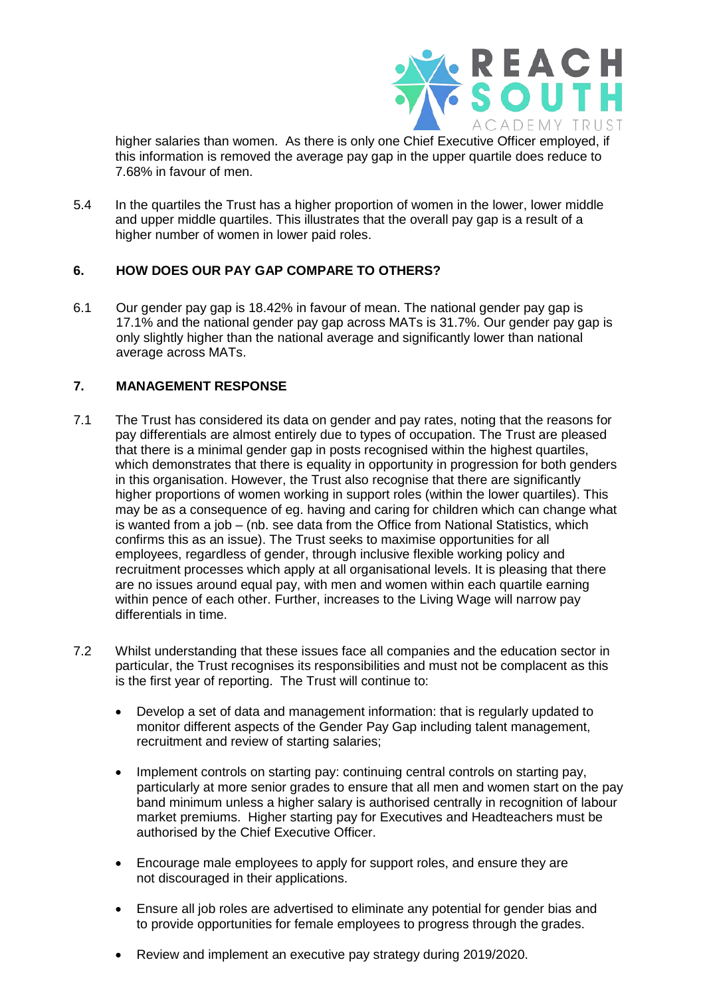

higher salaries than women. As there is only one Chief Executive Officer employed, if this information is removed the average pay gap in the upper quartile does reduce to 7.68% in favour of men.

5.4 In the quartiles the Trust has a higher proportion of women in the lower, lower middle and upper middle quartiles. This illustrates that the overall pay gap is a result of a higher number of women in lower paid roles.

## **6. HOW DOES OUR PAY GAP COMPARE TO OTHERS?**

6.1 Our gender pay gap is 18.42% in favour of mean. The national gender pay gap is 17.1% and the national gender pay gap across MATs is 31.7%. Our gender pay gap is only slightly higher than the national average and significantly lower than national average across MATs.

## **7. MANAGEMENT RESPONSE**

- 7.1 The Trust has considered its data on gender and pay rates, noting that the reasons for pay differentials are almost entirely due to types of occupation. The Trust are pleased that there is a minimal gender gap in posts recognised within the highest quartiles, which demonstrates that there is equality in opportunity in progression for both genders in this organisation. However, the Trust also recognise that there are significantly higher proportions of women working in support roles (within the lower quartiles). This may be as a consequence of eg. having and caring for children which can change what is wanted from a job – (nb. see data from the Office from National Statistics, which confirms this as an issue). The Trust seeks to maximise opportunities for all employees, regardless of gender, through inclusive flexible working policy and recruitment processes which apply at all organisational levels. It is pleasing that there are no issues around equal pay, with men and women within each quartile earning within pence of each other. Further, increases to the Living Wage will narrow pay differentials in time.
- 7.2 Whilst understanding that these issues face all companies and the education sector in particular, the Trust recognises its responsibilities and must not be complacent as this is the first year of reporting. The Trust will continue to:
	- Develop a set of data and management information: that is regularly updated to monitor different aspects of the Gender Pay Gap including talent management, recruitment and review of starting salaries;
	- Implement controls on starting pay: continuing central controls on starting pay, particularly at more senior grades to ensure that all men and women start on the pay band minimum unless a higher salary is authorised centrally in recognition of labour market premiums. Higher starting pay for Executives and Headteachers must be authorised by the Chief Executive Officer.
	- Encourage male employees to apply for support roles, and ensure they are not discouraged in their applications.
	- Ensure all job roles are advertised to eliminate any potential for gender bias and to provide opportunities for female employees to progress through the grades.
	- Review and implement an executive pay strategy during 2019/2020.